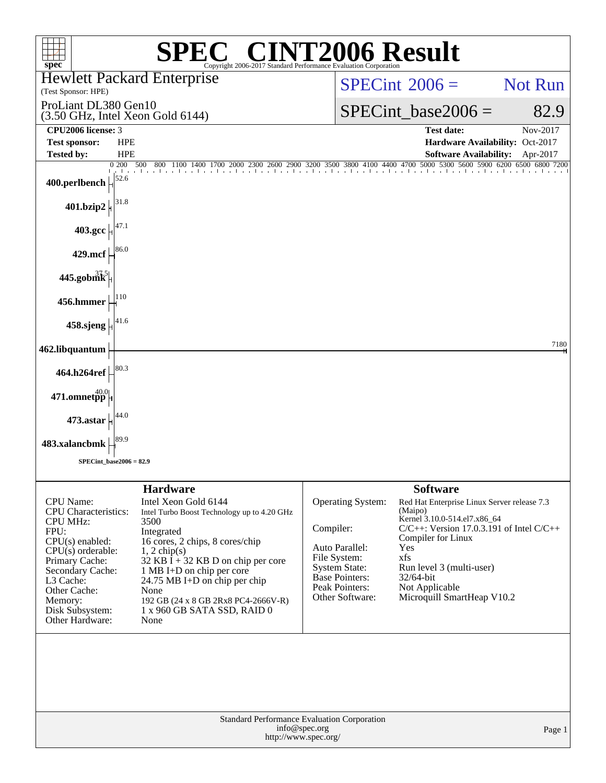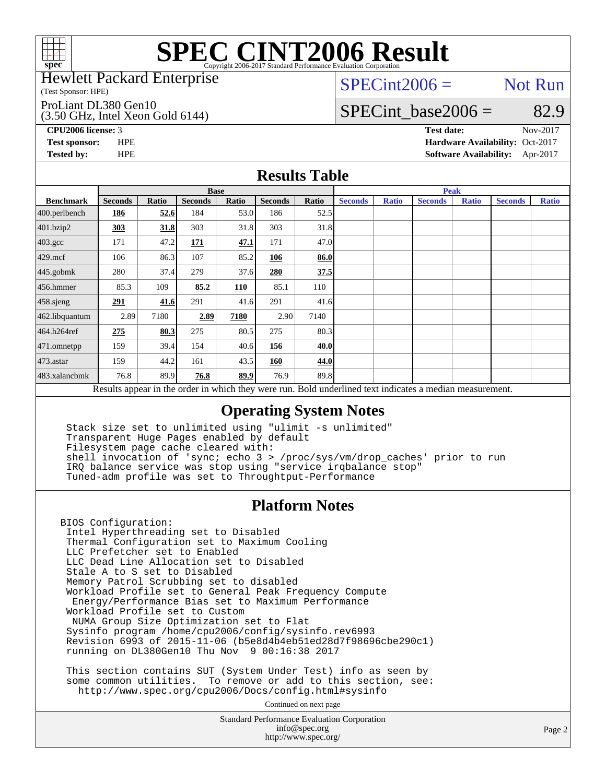

### Hewlett Packard Enterprise

(Test Sponsor: HPE)

### ProLiant DL380 Gen10

(3.50 GHz, Intel Xeon Gold 6144)

 $SPECint2006 =$  Not Run

### SPECint base2006 =  $82.9$

**[CPU2006 license:](http://www.spec.org/auto/cpu2006/Docs/result-fields.html#CPU2006license)** 3 **[Test date:](http://www.spec.org/auto/cpu2006/Docs/result-fields.html#Testdate)** Nov-2017 **[Test sponsor:](http://www.spec.org/auto/cpu2006/Docs/result-fields.html#Testsponsor)** HPE **[Hardware Availability:](http://www.spec.org/auto/cpu2006/Docs/result-fields.html#HardwareAvailability)** Oct-2017 **[Tested by:](http://www.spec.org/auto/cpu2006/Docs/result-fields.html#Testedby)** HPE **[Software Availability:](http://www.spec.org/auto/cpu2006/Docs/result-fields.html#SoftwareAvailability)** Apr-2017

### **[Results Table](http://www.spec.org/auto/cpu2006/Docs/result-fields.html#ResultsTable)**

|                                                                                                          | <b>Base</b>    |       |                |       |                |       | <b>Peak</b>    |              |                |              |                |              |
|----------------------------------------------------------------------------------------------------------|----------------|-------|----------------|-------|----------------|-------|----------------|--------------|----------------|--------------|----------------|--------------|
| <b>Benchmark</b>                                                                                         | <b>Seconds</b> | Ratio | <b>Seconds</b> | Ratio | <b>Seconds</b> | Ratio | <b>Seconds</b> | <b>Ratio</b> | <b>Seconds</b> | <b>Ratio</b> | <b>Seconds</b> | <b>Ratio</b> |
| 400.perlbench                                                                                            | 186            | 52.6  | 184            | 53.0  | 186            | 52.5  |                |              |                |              |                |              |
| 401.bzip2                                                                                                | 303            | 31.8  | 303            | 31.8  | 303            | 31.8  |                |              |                |              |                |              |
| $403.\mathrm{gcc}$                                                                                       | 171            | 47.2  | 171            | 47.1  | 171            | 47.0  |                |              |                |              |                |              |
| 429.mcf                                                                                                  | 106            | 86.3  | 107            | 85.2  | 106            | 86.0  |                |              |                |              |                |              |
| $445$ .gobmk                                                                                             | 280            | 37.4  | 279            | 37.6  | 280            | 37.5  |                |              |                |              |                |              |
| $456.$ hmmer                                                                                             | 85.3           | 109   | 85.2           | 110   | 85.1           | 110   |                |              |                |              |                |              |
| 458.sjeng                                                                                                | 291            | 41.6  | 291            | 41.6  | 291            | 41.6  |                |              |                |              |                |              |
| 462.libquantum                                                                                           | 2.89           | 7180  | 2.89           | 7180  | 2.90           | 7140  |                |              |                |              |                |              |
| 464.h264ref                                                                                              | 275            | 80.3  | 275            | 80.5  | 275            | 80.3  |                |              |                |              |                |              |
| 471.omnetpp                                                                                              | 159            | 39.4  | 154            | 40.6  | 156            | 40.0  |                |              |                |              |                |              |
| $473$ . astar                                                                                            | 159            | 44.2  | 161            | 43.5  | 160            | 44.0  |                |              |                |              |                |              |
| 483.xalancbmk                                                                                            | 76.8           | 89.9  | 76.8           | 89.9  | 76.9           | 89.8  |                |              |                |              |                |              |
| Results appear in the order in which they were run. Bold underlined text indicates a median measurement. |                |       |                |       |                |       |                |              |                |              |                |              |

### **[Operating System Notes](http://www.spec.org/auto/cpu2006/Docs/result-fields.html#OperatingSystemNotes)**

 Stack size set to unlimited using "ulimit -s unlimited" Transparent Huge Pages enabled by default Filesystem page cache cleared with: shell invocation of 'sync; echo 3 > /proc/sys/vm/drop\_caches' prior to run IRQ balance service was stop using "service irqbalance stop" Tuned-adm profile was set to Throughtput-Performance

### **[Platform Notes](http://www.spec.org/auto/cpu2006/Docs/result-fields.html#PlatformNotes)**

BIOS Configuration: Intel Hyperthreading set to Disabled Thermal Configuration set to Maximum Cooling LLC Prefetcher set to Enabled LLC Dead Line Allocation set to Disabled Stale A to S set to Disabled Memory Patrol Scrubbing set to disabled Workload Profile set to General Peak Frequency Compute Energy/Performance Bias set to Maximum Performance Workload Profile set to Custom NUMA Group Size Optimization set to Flat Sysinfo program /home/cpu2006/config/sysinfo.rev6993 Revision 6993 of 2015-11-06 (b5e8d4b4eb51ed28d7f98696cbe290c1) running on DL380Gen10 Thu Nov 9 00:16:38 2017

 This section contains SUT (System Under Test) info as seen by some common utilities. To remove or add to this section, see: <http://www.spec.org/cpu2006/Docs/config.html#sysinfo>

Continued on next page

Standard Performance Evaluation Corporation [info@spec.org](mailto:info@spec.org) <http://www.spec.org/>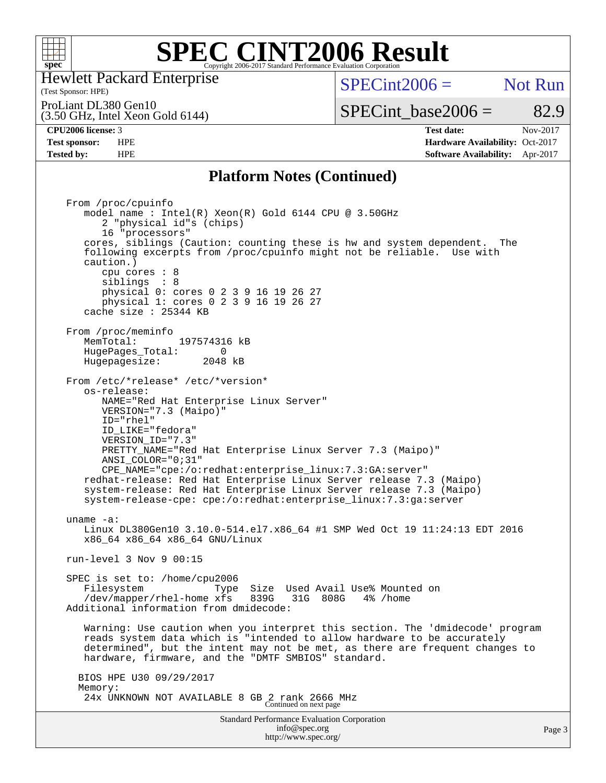

Hewlett Packard Enterprise

### (Test Sponsor: HPE)

 $SPECint2006 =$  Not Run

(3.50 GHz, Intel Xeon Gold 6144) ProLiant DL380 Gen10

SPECint base2006 =  $82.9$ 

**[CPU2006 license:](http://www.spec.org/auto/cpu2006/Docs/result-fields.html#CPU2006license)** 3 **[Test date:](http://www.spec.org/auto/cpu2006/Docs/result-fields.html#Testdate)** Nov-2017 **[Test sponsor:](http://www.spec.org/auto/cpu2006/Docs/result-fields.html#Testsponsor)** HPE **[Hardware Availability:](http://www.spec.org/auto/cpu2006/Docs/result-fields.html#HardwareAvailability)** Oct-2017 **[Tested by:](http://www.spec.org/auto/cpu2006/Docs/result-fields.html#Testedby)** HPE **[Software Availability:](http://www.spec.org/auto/cpu2006/Docs/result-fields.html#SoftwareAvailability)** Apr-2017

### **[Platform Notes \(Continued\)](http://www.spec.org/auto/cpu2006/Docs/result-fields.html#PlatformNotes)**

Standard Performance Evaluation Corporation From /proc/cpuinfo model name : Intel(R) Xeon(R) Gold 6144 CPU @ 3.50GHz 2 "physical id"s (chips) 16 "processors" cores, siblings (Caution: counting these is hw and system dependent. The following excerpts from /proc/cpuinfo might not be reliable. Use with caution.) cpu cores : 8 siblings : 8 physical 0: cores 0 2 3 9 16 19 26 27 physical 1: cores 0 2 3 9 16 19 26 27 cache size : 25344 KB From /proc/meminfo MemTotal: 197574316 kB HugePages\_Total: 0 Hugepagesize: 2048 kB From /etc/\*release\* /etc/\*version\* os-release: NAME="Red Hat Enterprise Linux Server" VERSION="7.3 (Maipo)" ID="rhel" ID\_LIKE="fedora" VERSION\_ID="7.3" PRETTY\_NAME="Red Hat Enterprise Linux Server 7.3 (Maipo)" ANSI\_COLOR="0;31" CPE\_NAME="cpe:/o:redhat:enterprise\_linux:7.3:GA:server" redhat-release: Red Hat Enterprise Linux Server release 7.3 (Maipo) system-release: Red Hat Enterprise Linux Server release 7.3 (Maipo) system-release-cpe: cpe:/o:redhat:enterprise\_linux:7.3:ga:server uname -a: Linux DL380Gen10 3.10.0-514.el7.x86\_64 #1 SMP Wed Oct 19 11:24:13 EDT 2016 x86\_64 x86\_64 x86\_64 GNU/Linux run-level 3 Nov 9 00:15 SPEC is set to: /home/cpu2006 Filesystem Type Size Used Avail Use% Mounted on<br>/dev/mapper/rhel-home xfs 839G 31G 808G 4% /home /dev/mapper/rhel-home xfs 839G Additional information from dmidecode: Warning: Use caution when you interpret this section. The 'dmidecode' program reads system data which is "intended to allow hardware to be accurately determined", but the intent may not be met, as there are frequent changes to hardware, firmware, and the "DMTF SMBIOS" standard. BIOS HPE U30 09/29/2017 Memory: 24x UNKNOWN NOT AVAILABLE 8 GB 2 rank 2666 MHz Continued on next page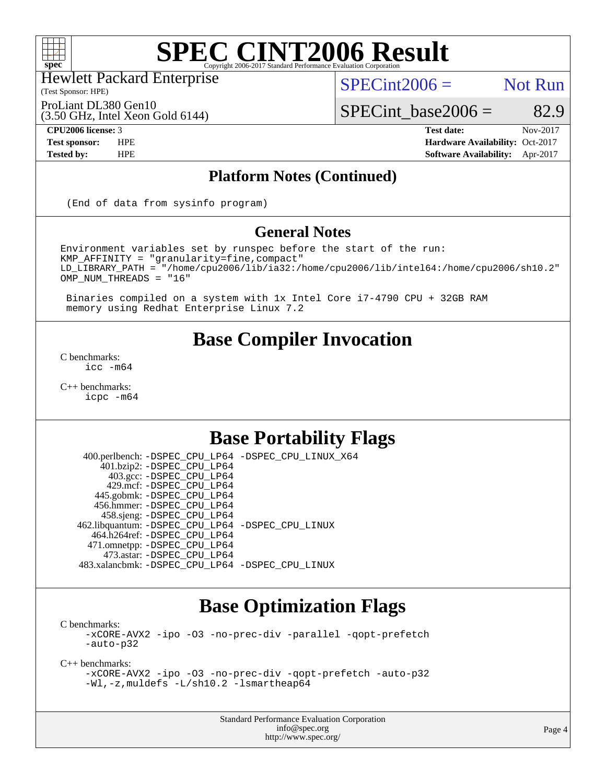

Hewlett Packard Enterprise

(Test Sponsor: HPE)

 $SPECint2006 =$  Not Run

ProLiant DL380 Gen10

(3.50 GHz, Intel Xeon Gold 6144)

**[CPU2006 license:](http://www.spec.org/auto/cpu2006/Docs/result-fields.html#CPU2006license)** 3 **[Test date:](http://www.spec.org/auto/cpu2006/Docs/result-fields.html#Testdate)** Nov-2017 **[Test sponsor:](http://www.spec.org/auto/cpu2006/Docs/result-fields.html#Testsponsor)** HPE **[Hardware Availability:](http://www.spec.org/auto/cpu2006/Docs/result-fields.html#HardwareAvailability)** Oct-2017 **[Tested by:](http://www.spec.org/auto/cpu2006/Docs/result-fields.html#Testedby)** HPE **[Software Availability:](http://www.spec.org/auto/cpu2006/Docs/result-fields.html#SoftwareAvailability)** Apr-2017

 $SPECTnt\_base2006 = 82.9$ 

### **[Platform Notes \(Continued\)](http://www.spec.org/auto/cpu2006/Docs/result-fields.html#PlatformNotes)**

(End of data from sysinfo program)

### **[General Notes](http://www.spec.org/auto/cpu2006/Docs/result-fields.html#GeneralNotes)**

Environment variables set by runspec before the start of the run: KMP\_AFFINITY = "granularity=fine,compact" LD\_LIBRARY\_PATH = "/home/cpu2006/lib/ia32:/home/cpu2006/lib/intel64:/home/cpu2006/sh10.2" OMP\_NUM\_THREADS = "16"

 Binaries compiled on a system with 1x Intel Core i7-4790 CPU + 32GB RAM memory using Redhat Enterprise Linux 7.2

## **[Base Compiler Invocation](http://www.spec.org/auto/cpu2006/Docs/result-fields.html#BaseCompilerInvocation)**

[C benchmarks](http://www.spec.org/auto/cpu2006/Docs/result-fields.html#Cbenchmarks): [icc -m64](http://www.spec.org/cpu2006/results/res2017q4/cpu2006-20171114-50611.flags.html#user_CCbase_intel_icc_64bit_bda6cc9af1fdbb0edc3795bac97ada53)

[C++ benchmarks:](http://www.spec.org/auto/cpu2006/Docs/result-fields.html#CXXbenchmarks) [icpc -m64](http://www.spec.org/cpu2006/results/res2017q4/cpu2006-20171114-50611.flags.html#user_CXXbase_intel_icpc_64bit_fc66a5337ce925472a5c54ad6a0de310)

# **[Base Portability Flags](http://www.spec.org/auto/cpu2006/Docs/result-fields.html#BasePortabilityFlags)**

 400.perlbench: [-DSPEC\\_CPU\\_LP64](http://www.spec.org/cpu2006/results/res2017q4/cpu2006-20171114-50611.flags.html#b400.perlbench_basePORTABILITY_DSPEC_CPU_LP64) [-DSPEC\\_CPU\\_LINUX\\_X64](http://www.spec.org/cpu2006/results/res2017q4/cpu2006-20171114-50611.flags.html#b400.perlbench_baseCPORTABILITY_DSPEC_CPU_LINUX_X64) 401.bzip2: [-DSPEC\\_CPU\\_LP64](http://www.spec.org/cpu2006/results/res2017q4/cpu2006-20171114-50611.flags.html#suite_basePORTABILITY401_bzip2_DSPEC_CPU_LP64) 403.gcc: [-DSPEC\\_CPU\\_LP64](http://www.spec.org/cpu2006/results/res2017q4/cpu2006-20171114-50611.flags.html#suite_basePORTABILITY403_gcc_DSPEC_CPU_LP64) 429.mcf: [-DSPEC\\_CPU\\_LP64](http://www.spec.org/cpu2006/results/res2017q4/cpu2006-20171114-50611.flags.html#suite_basePORTABILITY429_mcf_DSPEC_CPU_LP64) 445.gobmk: [-DSPEC\\_CPU\\_LP64](http://www.spec.org/cpu2006/results/res2017q4/cpu2006-20171114-50611.flags.html#suite_basePORTABILITY445_gobmk_DSPEC_CPU_LP64) 456.hmmer: [-DSPEC\\_CPU\\_LP64](http://www.spec.org/cpu2006/results/res2017q4/cpu2006-20171114-50611.flags.html#suite_basePORTABILITY456_hmmer_DSPEC_CPU_LP64) 458.sjeng: [-DSPEC\\_CPU\\_LP64](http://www.spec.org/cpu2006/results/res2017q4/cpu2006-20171114-50611.flags.html#suite_basePORTABILITY458_sjeng_DSPEC_CPU_LP64) 462.libquantum: [-DSPEC\\_CPU\\_LP64](http://www.spec.org/cpu2006/results/res2017q4/cpu2006-20171114-50611.flags.html#suite_basePORTABILITY462_libquantum_DSPEC_CPU_LP64) [-DSPEC\\_CPU\\_LINUX](http://www.spec.org/cpu2006/results/res2017q4/cpu2006-20171114-50611.flags.html#b462.libquantum_baseCPORTABILITY_DSPEC_CPU_LINUX) 464.h264ref: [-DSPEC\\_CPU\\_LP64](http://www.spec.org/cpu2006/results/res2017q4/cpu2006-20171114-50611.flags.html#suite_basePORTABILITY464_h264ref_DSPEC_CPU_LP64) 471.omnetpp: [-DSPEC\\_CPU\\_LP64](http://www.spec.org/cpu2006/results/res2017q4/cpu2006-20171114-50611.flags.html#suite_basePORTABILITY471_omnetpp_DSPEC_CPU_LP64) 473.astar: [-DSPEC\\_CPU\\_LP64](http://www.spec.org/cpu2006/results/res2017q4/cpu2006-20171114-50611.flags.html#suite_basePORTABILITY473_astar_DSPEC_CPU_LP64) 483.xalancbmk: [-DSPEC\\_CPU\\_LP64](http://www.spec.org/cpu2006/results/res2017q4/cpu2006-20171114-50611.flags.html#suite_basePORTABILITY483_xalancbmk_DSPEC_CPU_LP64) [-DSPEC\\_CPU\\_LINUX](http://www.spec.org/cpu2006/results/res2017q4/cpu2006-20171114-50611.flags.html#b483.xalancbmk_baseCXXPORTABILITY_DSPEC_CPU_LINUX)

## **[Base Optimization Flags](http://www.spec.org/auto/cpu2006/Docs/result-fields.html#BaseOptimizationFlags)**

[C benchmarks](http://www.spec.org/auto/cpu2006/Docs/result-fields.html#Cbenchmarks):

[-xCORE-AVX2](http://www.spec.org/cpu2006/results/res2017q4/cpu2006-20171114-50611.flags.html#user_CCbase_f-xCORE-AVX2) [-ipo](http://www.spec.org/cpu2006/results/res2017q4/cpu2006-20171114-50611.flags.html#user_CCbase_f-ipo) [-O3](http://www.spec.org/cpu2006/results/res2017q4/cpu2006-20171114-50611.flags.html#user_CCbase_f-O3) [-no-prec-div](http://www.spec.org/cpu2006/results/res2017q4/cpu2006-20171114-50611.flags.html#user_CCbase_f-no-prec-div) [-parallel](http://www.spec.org/cpu2006/results/res2017q4/cpu2006-20171114-50611.flags.html#user_CCbase_f-parallel) [-qopt-prefetch](http://www.spec.org/cpu2006/results/res2017q4/cpu2006-20171114-50611.flags.html#user_CCbase_f-qopt-prefetch) [-auto-p32](http://www.spec.org/cpu2006/results/res2017q4/cpu2006-20171114-50611.flags.html#user_CCbase_f-auto-p32)

[C++ benchmarks:](http://www.spec.org/auto/cpu2006/Docs/result-fields.html#CXXbenchmarks)

```
-xCORE-AVX2 -ipo -O3 -no-prec-div -qopt-prefetch -auto-p32
-Wl,-z,muldefs -L/sh10.2 -lsmartheap64
```
Standard Performance Evaluation Corporation [info@spec.org](mailto:info@spec.org) <http://www.spec.org/>